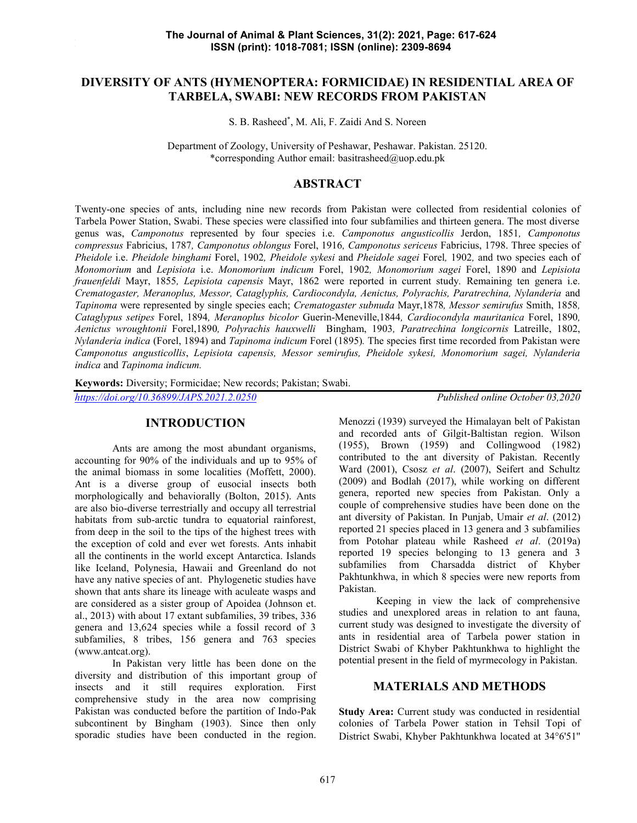# **DIVERSITY OF ANTS (HYMENOPTERA: FORMICIDAE) IN RESIDENTIAL AREA OF TARBELA, SWABI: NEW RECORDS FROM PAKISTAN**

S. B. Rasheed\* , M. Ali, F. Zaidi And S. Noreen

Department of Zoology, University of Peshawar, Peshawar. Pakistan. 25120. \*corresponding Author email: basitrasheed@uop.edu.pk

# **ABSTRACT**

Twenty-one species of ants, including nine new records from Pakistan were collected from residential colonies of Tarbela Power Station, Swabi. These species were classified into four subfamilies and thirteen genera. The most diverse genus was, *Camponotus* represented by four species i.e. *Camponotus angusticollis* Jerdon, 1851*, Camponotus compressus* Fabricius, 1787*, Camponotus oblongus* Forel, 1916*, Camponotus sericeus* Fabricius, 1798. Three species of *Pheidole* i.e. *Pheidole binghami* Forel, 1902*, Pheidole sykesi* and *Pheidole sagei* Forel*,* 1902*,* and two species each of *Monomorium* and *Lepisiota* i.e. *Monomorium indicum* Forel, 1902*, Monomorium sagei* Forel, 1890 and *Lepisiota frauenfeldi* Mayr, 1855*, Lepisiota capensis* Mayr, 1862 were reported in current study*.* Remaining ten genera i.e. *Crematogaster, Meranoplus, Messor, Cataglyphis, Cardiocondyla, Aenictus, Polyrachis, Paratrechina, Nylanderia* and *Tapinoma* were represented by single species each; *Crematogaster subnuda* Mayr,1878*, Messor semirufus* Smith, 1858*, Cataglypus setipes* Forel, 1894*, Meranoplus bicolor* Guerin-Meneville,1844*, Cardiocondyla mauritanica* Forel, 1890*, Aenictus wroughtonii* Forel,1890*, Polyrachis hauxwelli* Bingham, 1903*, Paratrechina longicornis* Latreille, 1802, *Nylanderia indica* (Forel, 1894) and *Tapinoma indicum* Forel (1895)*.* The species first time recorded from Pakistan were *Camponotus angusticollis*, *Lepisiota capensis, Messor semirufus, Pheidole sykesi, Monomorium sagei, Nylanderia indica* and *Tapinoma indicum.*

**Keywords:** Diversity; Formicidae; New records; Pakistan; Swabi.

*https://doi.org/10.36899/JAPS.2021.2.0250 Published online October 03,2020*

# **INTRODUCTION**

Ants are among the most abundant organisms, accounting for 90% of the individuals and up to 95% of the animal biomass in some localities (Moffett, 2000). Ant is a diverse group of eusocial insects both morphologically and behaviorally (Bolton, 2015). Ants are also bio-diverse terrestrially and occupy all terrestrial habitats from sub-arctic tundra to equatorial rainforest, from deep in the soil to the tips of the highest trees with the exception of cold and ever wet forests. Ants inhabit all the continents in the world except Antarctica. Islands like Iceland, Polynesia, Hawaii and Greenland do not have any native species of ant. Phylogenetic studies have shown that ants share its lineage with aculeate wasps and are considered as a sister group of Apoidea (Johnson et. al., 2013) with about 17 extant subfamilies, 39 tribes, 336 genera and 13,624 species while a fossil record of 3 subfamilies, 8 tribes, 156 genera and 763 species (www.antcat.org).

In Pakistan very little has been done on the diversity and distribution of this important group of insects and it still requires exploration. First comprehensive study in the area now comprising Pakistan was conducted before the partition of Indo-Pak subcontinent by Bingham (1903). Since then only sporadic studies have been conducted in the region.

Menozzi (1939) surveyed the Himalayan belt of Pakistan and recorded ants of Gilgit-Baltistan region. Wilson (1955), Brown (1959) and Collingwood (1982) contributed to the ant diversity of Pakistan. Recently Ward (2001), Csosz *et al*. (2007), Seifert and Schultz (2009) and Bodlah (2017), while working on different genera, reported new species from Pakistan. Only a couple of comprehensive studies have been done on the ant diversity of Pakistan. In Punjab, Umair *et al*. (2012) reported 21 species placed in 13 genera and 3 subfamilies from Potohar plateau while Rasheed *et al*. (2019a) reported 19 species belonging to 13 genera and 3 subfamilies from Charsadda district of Khyber Pakhtunkhwa, in which 8 species were new reports from Pakistan.

Keeping in view the lack of comprehensive studies and unexplored areas in relation to ant fauna, current study was designed to investigate the diversity of ants in residential area of Tarbela power station in District Swabi of Khyber Pakhtunkhwa to highlight the potential present in the field of myrmecology in Pakistan.

### **MATERIALS AND METHODS**

**Study Area:** Current study was conducted in residential colonies of Tarbela Power station in Tehsil Topi of District Swabi, Khyber Pakhtunkhwa located at 34°6'51"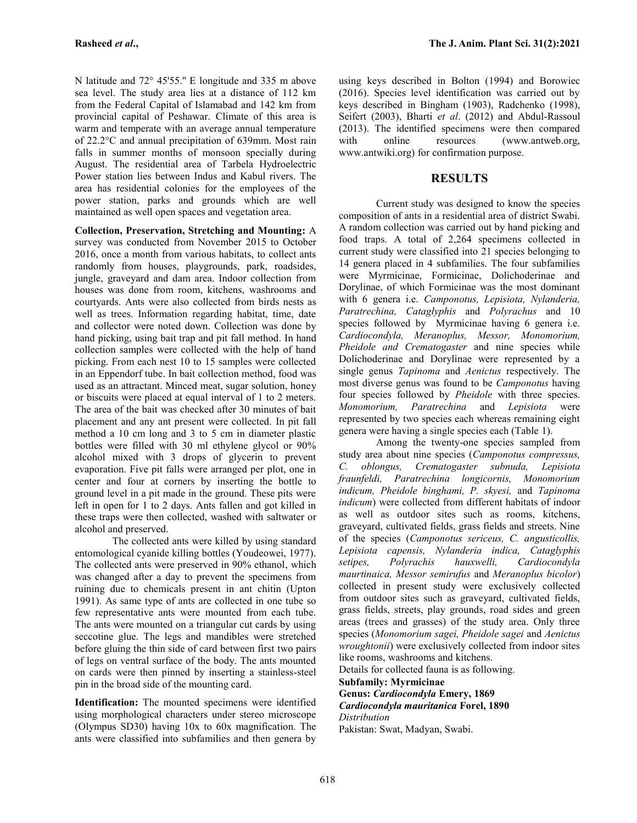N latitude and 72° 45'55.'' E longitude and 335 m above sea level. The study area lies at a distance of 112 km from the Federal Capital of Islamabad and 142 km from provincial capital of Peshawar. Climate of this area is warm and temperate with an average annual temperature of 22.2°C and annual precipitation of 639mm. Most rain falls in summer months of monsoon specially during August. The residential area of Tarbela Hydroelectric Power station lies between Indus and Kabul rivers. The area has residential colonies for the employees of the power station, parks and grounds which are well maintained as well open spaces and vegetation area.

**Collection, Preservation, Stretching and Mounting:** A survey was conducted from November 2015 to October 2016, once a month from various habitats, to collect ants randomly from houses, playgrounds, park, roadsides, jungle, graveyard and dam area. Indoor collection from houses was done from room, kitchens, washrooms and courtyards. Ants were also collected from birds nests as well as trees. Information regarding habitat, time, date and collector were noted down. Collection was done by hand picking, using bait trap and pit fall method. In hand collection samples were collected with the help of hand picking. From each nest 10 to 15 samples were collected in an Eppendorf tube. In bait collection method, food was used as an attractant. Minced meat, sugar solution, honey or biscuits were placed at equal interval of 1 to 2 meters. The area of the bait was checked after 30 minutes of bait placement and any ant present were collected. In pit fall method a 10 cm long and 3 to 5 cm in diameter plastic bottles were filled with 30 ml ethylene glycol or 90% alcohol mixed with 3 drops of glycerin to prevent evaporation. Five pit falls were arranged per plot, one in  $C.$  oblongus, center and four at corners by inserting the bottle to ground level in a pit made in the ground. These pits were left in open for 1 to 2 days. Ants fallen and got killed in these traps were then collected, washed with saltwater or alcohol and preserved.

The collected ants were killed by using standard entomological cyanide killing bottles (Youdeowei, 1977). The collected ants were preserved in 90% ethanol, which setipes, was changed after a day to prevent the specimens from ruining due to chemicals present in ant chitin (Upton 1991). As same type of ants are collected in one tube so few representative ants were mounted from each tube. The ants were mounted on a triangular cut cards by using seccotine glue. The legs and mandibles were stretched before gluing the thin side of card between first two pairs of legs on ventral surface of the body. The ants mounted on cards were then pinned by inserting a stainless-steel pin in the broad side of the mounting card.

**Identification:** The mounted specimens were identified using morphological characters under stereo microscope (Olympus SD30) having 10x to 60x magnification. The ants were classified into subfamilies and then genera by using keys described in Bolton (1994) and Borowiec (2016). Species level identification was carried out by keys described in Bingham (1903), Radchenko (1998), Seifert (2003), Bharti *et al*. (2012) and Abdul-Rassoul (2013). The identified specimens were then compared online resources (www.antweb.org, www.antwiki.org) for confirmation purpose.

### **RESULTS**

Current study was designed to know the species composition of ants in a residential area of district Swabi. A random collection was carried out by hand picking and food traps. A total of 2,264 specimens collected in current study were classified into 21 species belonging to 14 genera placed in 4 subfamilies. The four subfamilies were Myrmicinae, Formicinae, Dolichoderinae and Dorylinae, of which Formicinae was the most dominant with 6 genera i.e. *Camponotus, Lepisiota, Nylanderia, Paratrechina, Cataglyphis* and *Polyrachus* and 10 species followed by Myrmicinae having 6 genera i.e. *Cardiocondyla, Meranoplus, Messor, Monomorium, Pheidole and Crematogaster* and nine species while Dolichoderinae and Dorylinae were represented by a single genus *Tapinoma* and *Aenictus* respectively. The most diverse genus was found to be *Camponotus* having four species followed by *Pheidole* with three species. *Monomorium, Paratrechina* and *Lepisiota* were represented by two species each whereas remaining eight genera were having a single species each (Table 1).

Among the twenty-one species sampled from study area about nine species (*Camponotus compressus, C. oblongus, Crematogaster subnuda, Lepisiota fraunfeldi, Paratrechina longicornis, Monomorium indicum, Pheidole binghami, P. skyesi,* and *Tapinoma indicum*) were collected from different habitats of indoor as well as outdoor sites such as rooms, kitchens, graveyard, cultivated fields, grass fields and streets. Nine of the species (*Camponotus sericeus, C. angusticollis, Lepisiota capensis, Nylanderia indica, Cataglyphis setipes, Polyrachis hauxwelli, Cardiocondyla maurtinaica, Messor semirufus* and *Meranoplus bicolor*) collected in present study were exclusively collected from outdoor sites such as graveyard, cultivated fields, grass fields, streets, play grounds, road sides and green areas (trees and grasses) of the study area. Only three species (*Monomorium sagei, Pheidole sagei* and *Aenictus wroughtonii*) were exclusively collected from indoor sites like rooms, washrooms and kitchens.

Details for collected fauna is as following. **Subfamily: Myrmicinae**

**Genus:** *Cardiocondyla* **Emery, 1869** *Cardiocondyla mauritanica* **Forel, 1890** *Distribution*

Pakistan: Swat, Madyan, Swabi.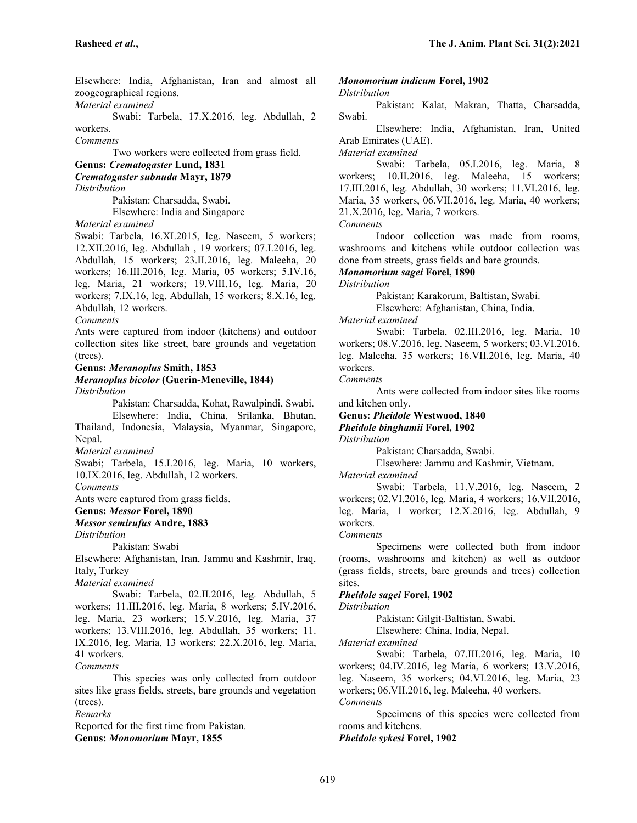Elsewhere: India, Afghanistan, Iran and almost all zoogeographical regions.

*Material examined*

Swabi: Tarbela, 17.X.2016, leg. Abdullah, 2 workers.

*Comments*

Two workers were collected from grass field.

**Genus:** *Crematogaster* **Lund, 1831**

*Crematogaster subnuda* **Mayr, 1879**

*Distribution*

Pakistan: Charsadda, Swabi.

Elsewhere: India and Singapore

*Material examined*

Swabi: Tarbela, 16.XI.2015, leg. Naseem, 5 workers; 12.XII.2016, leg. Abdullah , 19 workers; 07.I.2016, leg. Abdullah, 15 workers; 23.II.2016, leg. Maleeha, 20 workers; 16.III.2016, leg. Maria, 05 workers; 5.IV.16, leg. Maria, 21 workers; 19.VIII.16, leg. Maria, 20 workers; 7.IX.16, leg. Abdullah, 15 workers; 8.X.16, leg. Abdullah, 12 workers.

#### *Comments*

Ants were captured from indoor (kitchens) and outdoor collection sites like street, bare grounds and vegetation (trees).

#### **Genus:** *Meranoplus* **Smith, 1853**

# *Meranoplus bicolor* **(Guerin-Meneville, 1844)**

*Distribution*

Pakistan: Charsadda, Kohat, Rawalpindi, Swabi. Elsewhere: India, China, Srilanka, Bhutan, Thailand, Indonesia, Malaysia, Myanmar, Singapore, Nepal.

*Material examined*

Swabi; Tarbela, 15.I.2016, leg. Maria, 10 workers, 10.IX.2016, leg. Abdullah, 12 workers.

*Comments*

Ants were captured from grass fields.

**Genus:** *Messor* **Forel, 1890**

### *Messor semirufus* **Andre, 1883**

*Distribution*

Pakistan: Swabi

Elsewhere: Afghanistan, Iran, Jammu and Kashmir, Iraq, Italy, Turkey

*Material examined*

Swabi: Tarbela, 02.II.2016, leg. Abdullah, 5 workers; 11.III.2016, leg. Maria, 8 workers; 5.IV.2016, leg. Maria, 23 workers; 15.V.2016, leg. Maria, 37 workers; 13.VIII.2016, leg. Abdullah, 35 workers; 11. IX.2016, leg. Maria, 13 workers; 22.X.2016, leg. Maria, 41 workers.

*Comments*

This species was only collected from outdoor sites like grass fields, streets, bare grounds and vegetation (trees).

*Remarks*

Reported for the first time from Pakistan.

**Genus:** *Monomorium* **Mayr, 1855**

### *Monomorium indicum* **Forel, 1902**

#### *Distribution*

Pakistan: Kalat, Makran, Thatta, Charsadda, Swabi.

Elsewhere: India, Afghanistan, Iran, United Arab Emirates (UAE).

*Material examined*

Swabi: Tarbela, 05.I.2016, leg. Maria, 8 workers; 10.II.2016, leg. Maleeha, 15 workers; 17.III.2016, leg. Abdullah, 30 workers; 11.VI.2016, leg. Maria, 35 workers, 06.VII.2016, leg. Maria, 40 workers; 21.X.2016, leg. Maria, 7 workers.

*Comments*

Indoor collection was made from rooms, washrooms and kitchens while outdoor collection was done from streets, grass fields and bare grounds.

*Monomorium sagei* **Forel, 1890**

*Distribution*

Pakistan: Karakorum, Baltistan, Swabi.

Elsewhere: Afghanistan, China, India.

*Material examined*

Swabi: Tarbela, 02.III.2016, leg. Maria, 10 workers; 08.V.2016, leg. Naseem, 5 workers; 03.VI.2016, leg. Maleeha, 35 workers; 16.VII.2016, leg. Maria, 40 workers.

*Comments*

Ants were collected from indoor sites like rooms and kitchen only.

**Genus:** *Pheidole* **Westwood, 1840**

*Pheidole binghamii* **Forel, 1902**

*Distribution*

Pakistan: Charsadda, Swabi.

Elsewhere: Jammu and Kashmir, Vietnam.

*Material examined*

Swabi: Tarbela, 11.V.2016, leg. Naseem, 2 workers; 02.VI.2016, leg. Maria, 4 workers; 16.VII.2016, leg. Maria, 1 worker; 12.X.2016, leg. Abdullah, 9 workers.

*Comments*

Specimens were collected both from indoor (rooms, washrooms and kitchen) as well as outdoor (grass fields, streets, bare grounds and trees) collection sites.

#### *Pheidole sagei* **Forel, 1902**

*Distribution*

Pakistan: Gilgit-Baltistan, Swabi.

Elsewhere: China, India, Nepal.

*Material examined*

Swabi: Tarbela, 07.III.2016, leg. Maria, 10 workers; 04.IV.2016, leg Maria, 6 workers; 13.V.2016, leg. Naseem, 35 workers; 04.VI.2016, leg. Maria, 23 workers; 06.VII.2016, leg. Maleeha, 40 workers.

*Comments*

Specimens of this species were collected from rooms and kitchens.

*Pheidole sykesi* **Forel, 1902**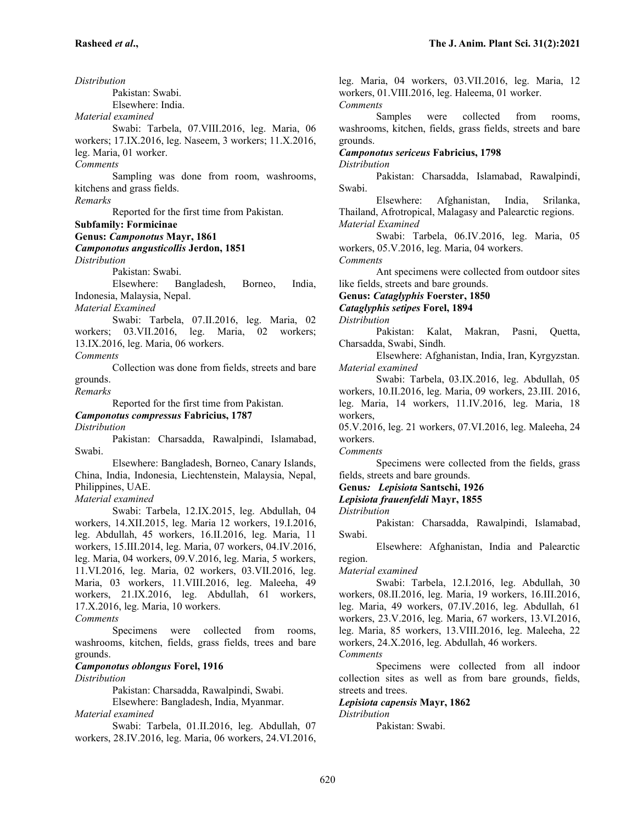*Distribution* Pakistan: Swabi. Elsewhere: India. *Material examined* Swabi: Tarbela, 07.VIII.2016, leg. Maria, 06 workers; 17.IX.2016, leg. Naseem, 3 workers; 11.X.2016, leg. Maria, 01 worker. *Comments* Sampling was done from room, washrooms, kitchens and grass fields. *Remarks* Reported for the first time from Pakistan. **Subfamily: Formicinae Genus:** *Camponotus* **Mayr, 1861** *Camponotus angusticollis* **Jerdon, 1851** *Distribution* Pakistan: Swabi. Elsewhere: Bangladesh, Borneo, India, Indonesia, Malaysia, Nepal. *Material Examined* Swabi: Tarbela, 07.II.2016, leg. Maria, 02 workers; 03.VII.2016, leg. Maria, 02 workers; 13.IX.2016, leg. Maria, 06 workers. *Comments* Collection was done from fields, streets and bare grounds. *Remarks* Reported for the first time from Pakistan. *Camponotus compressus* **Fabricius, 1787** *Distribution* Pakistan: Charsadda, Rawalpindi, Islamabad, Swabi.

Elsewhere: Bangladesh, Borneo, Canary Islands, China, India, Indonesia, Liechtenstein, Malaysia, Nepal, Philippines, UAE.

#### *Material examined*

Swabi: Tarbela, 12.IX.2015, leg. Abdullah, 04 workers, 14.XII.2015, leg. Maria 12 workers, 19.I.2016, leg. Abdullah, 45 workers, 16.II.2016, leg. Maria, 11 workers, 15.III.2014, leg. Maria, 07 workers, 04.IV.2016, leg. Maria, 04 workers, 09.V.2016, leg. Maria, 5 workers, 11.VI.2016, leg. Maria, 02 workers, 03.VII.2016, leg. Maria, 03 workers, 11.VIII.2016, leg. Maleeha, 49 workers, 21.IX.2016, leg. Abdullah, 61 workers, 17.X.2016, leg. Maria, 10 workers.

*Comments*

Specimens were collected from rooms, washrooms, kitchen, fields, grass fields, trees and bare grounds.

#### *Camponotus oblongus* **Forel, 1916**

*Distribution*

Pakistan: Charsadda, Rawalpindi, Swabi.

Elsewhere: Bangladesh, India, Myanmar. *Material examined*

Swabi: Tarbela, 01.II.2016, leg. Abdullah, 07 workers, 28.IV.2016, leg. Maria, 06 workers, 24.VI.2016, leg. Maria, 04 workers, 03.VII.2016, leg. Maria, 12 workers, 01.VIII.2016, leg. Haleema, 01 worker. *Comments*

Samples were collected from rooms, washrooms, kitchen, fields, grass fields, streets and bare grounds.

*Camponotus sericeus* **Fabricius, 1798**

*Distribution*

Pakistan: Charsadda, Islamabad, Rawalpindi, Swabi.

Elsewhere: Afghanistan, India, Srilanka, Thailand, Afrotropical, Malagasy and Palearctic regions. *Material Examined*

Swabi: Tarbela, 06.IV.2016, leg. Maria, 05 workers, 05.V.2016, leg. Maria, 04 workers.

*Comments*

Ant specimens were collected from outdoor sites like fields, streets and bare grounds.

**Genus:** *Cataglyphis* **Foerster, 1850**

*Cataglyphis setipes* **Forel, 1894**

*Distribution*

Pakistan: Kalat, Makran, Pasni, Quetta, Charsadda, Swabi, Sindh.

Elsewhere: Afghanistan, India, Iran, Kyrgyzstan. *Material examined*

Swabi: Tarbela, 03.IX.2016, leg. Abdullah, 05 workers, 10.II.2016, leg. Maria, 09 workers, 23.III. 2016, leg. Maria, 14 workers, 11.IV.2016, leg. Maria, 18 workers,

05.V.2016, leg. 21 workers, 07.VI.2016, leg. Maleeha, 24 workers.

*Comments*

Specimens were collected from the fields, grass fields, streets and bare grounds.

**Genus***: Lepisiota* **Santschi, 1926**

*Lepisiota frauenfeldi* **Mayr, 1855**

*Distribution*

Pakistan: Charsadda, Rawalpindi, Islamabad, Swabi.

Elsewhere: Afghanistan, India and Palearctic region.

*Material examined*

Swabi: Tarbela, 12.I.2016, leg. Abdullah, 30 workers, 08.II.2016, leg. Maria, 19 workers, 16.III.2016, leg. Maria, 49 workers, 07.IV.2016, leg. Abdullah, 61 workers, 23.V.2016, leg. Maria, 67 workers, 13.VI.2016, leg. Maria, 85 workers, 13.VIII.2016, leg. Maleeha, 22 workers, 24.X.2016, leg. Abdullah, 46 workers.

*Comments*

Specimens were collected from all indoor collection sites as well as from bare grounds, fields, streets and trees.

### *Lepisiota capensis* **Mayr, 1862**

*Distribution*

Pakistan: Swabi.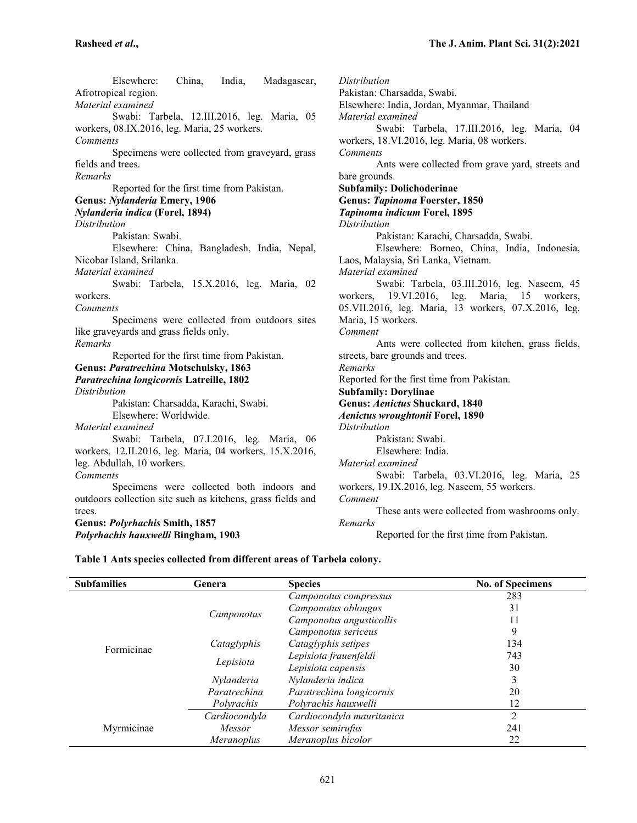Elsewhere: China, India, Madagascar, Afrotropical region. *Material examined* Swabi: Tarbela, 12.III.2016, leg. Maria, 05 workers, 08.IX.2016, leg. Maria, 25 workers. *Comments* Specimens were collected from graveyard, grass fields and trees. *Remarks* Reported for the first time from Pakistan. **Genus:** *Nylanderia* **Emery, 1906** *Nylanderia indica* **(Forel, 1894)** *Distribution* Pakistan: Swabi. Elsewhere: China, Bangladesh, India, Nepal, Nicobar Island, Srilanka. *Material examined* Swabi: Tarbela, 15.X.2016, leg. Maria, 02 workers. *Comments* Specimens were collected from outdoors sites like graveyards and grass fields only. *Remarks* Reported for the first time from Pakistan. **Genus:** *Paratrechina* **Motschulsky, 1863** *Paratrechina longicornis* **Latreille, 1802** *Distribution* Pakistan: Charsadda, Karachi, Swabi. Elsewhere: Worldwide. *Material examined* Swabi: Tarbela, 07.I.2016, leg. Maria, 06 workers, 12.II.2016, leg. Maria, 04 workers, 15.X.2016, leg. Abdullah, 10 workers. *Comments* Specimens were collected both indoors and outdoors collection site such as kitchens, grass fields and trees.

### **Genus:** *Polyrhachis* **Smith, 1857** *Polyrhachis hauxwelli* **Bingham, 1903**

*Distribution* Pakistan: Charsadda, Swabi. Elsewhere: India, Jordan, Myanmar, Thailand *Material examined* Swabi: Tarbela, 17.III.2016, leg. Maria, 04 workers, 18.VI.2016, leg. Maria, 08 workers. *Comments* Ants were collected from grave yard, streets and bare grounds. **Subfamily: Dolichoderinae Genus:** *Tapinoma* **Foerster, 1850** *Tapinoma indicum* **Forel, 1895** *Distribution* Pakistan: Karachi, Charsadda, Swabi. Elsewhere: Borneo, China, India, Indonesia, Laos, Malaysia, Sri Lanka, Vietnam. *Material examined* Swabi: Tarbela, 03.III.2016, leg. Naseem, 45 workers, 19.VI.2016, leg. Maria, 15 workers, 05.VII.2016, leg. Maria, 13 workers, 07.X.2016, leg. Maria, 15 workers. *Comment* Ants were collected from kitchen, grass fields, streets, bare grounds and trees. *Remarks* Reported for the first time from Pakistan. **Subfamily: Dorylinae Genus:** *Aenictus* **Shuckard, 1840** *Aenictus wroughtonii* **Forel, 1890** *Distribution* Pakistan: Swabi. Elsewhere: India. *Material examined* Swabi: Tarbela, 03.VI.2016, leg. Maria, 25 workers, 19.IX.2016, leg. Naseem, 55 workers. *Comment* These ants were collected from washrooms only. *Remarks* Reported for the first time from Pakistan.

### **Table 1 Ants species collected from different areas of Tarbela colony.**

| <b>Subfamilies</b> | Genera            | <b>Species</b>            | <b>No. of Specimens</b> |
|--------------------|-------------------|---------------------------|-------------------------|
| Formicinae         | Camponotus        | Camponotus compressus     | 283                     |
|                    |                   | Camponotus oblongus       | 31                      |
|                    |                   | Camponotus angusticollis  | 11                      |
|                    |                   | Camponotus sericeus       | 9                       |
|                    | Cataglyphis       | Cataglyphis setipes       | 134                     |
|                    | Lepisiota         | Lepisiota frauenfeldi     | 743                     |
|                    |                   | Lepisiota capensis        | 30                      |
|                    | Nylanderia        | Nylanderia indica         | 3                       |
|                    | Paratrechina      | Paratrechina longicornis  | 20                      |
|                    | Polyrachis        | Polyrachis hauxwelli      | 12                      |
| Myrmicinae         | Cardiocondyla     | Cardiocondyla mauritanica | $\overline{2}$          |
|                    | Messor            | Messor semirufus          | 241                     |
|                    | <i>Meranoplus</i> | Meranoplus bicolor        | 22                      |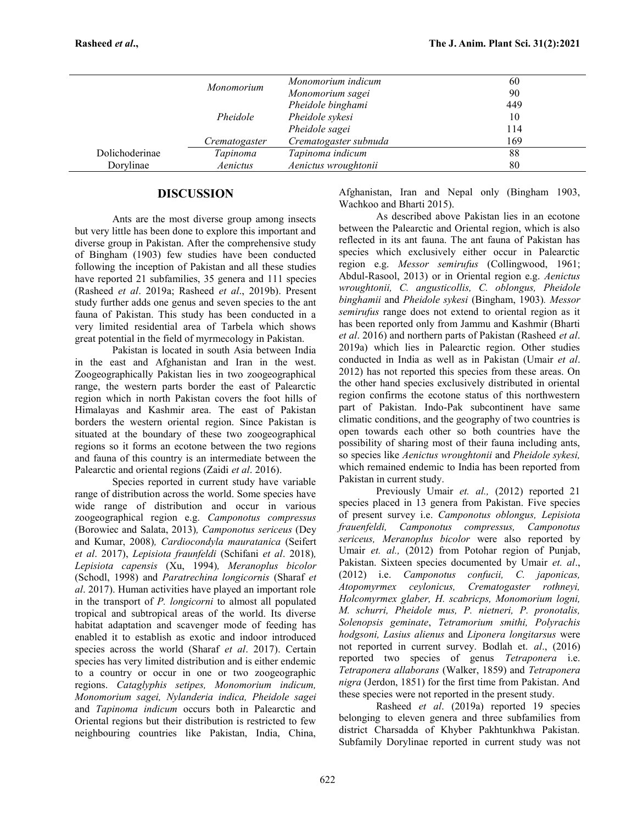|                |               | Monomorium indicum    | 60  |
|----------------|---------------|-----------------------|-----|
|                | Monomorium    | Monomorium sagei      | 90  |
|                |               | Pheidole binghami     | 449 |
|                | Pheidole      | Pheidole sykesi       | 10  |
|                |               | Pheidole sagei        | 114 |
|                | Crematogaster | Crematogaster subnuda | 169 |
| Dolichoderinae | Tapinoma      | Tapinoma indicum      | 88  |
| Dorylinae      | Aenictus      | Aenictus wroughtonii  | 80  |
|                |               |                       |     |

# **DISCUSSION**

Ants are the most diverse group among insects but very little has been done to explore this important and diverse group in Pakistan. After the comprehensive study of Bingham (1903) few studies have been conducted following the inception of Pakistan and all these studies have reported 21 subfamilies, 35 genera and 111 species (Rasheed *et al*. 2019a; Rasheed *et al*., 2019b). Present study further adds one genus and seven species to the ant fauna of Pakistan. This study has been conducted in a very limited residential area of Tarbela which shows great potential in the field of myrmecology in Pakistan.

Pakistan is located in south Asia between India in the east and Afghanistan and Iran in the west. Zoogeographically Pakistan lies in two zoogeographical range, the western parts border the east of Palearctic region which in north Pakistan covers the foot hills of Himalayas and Kashmir area. The east of Pakistan borders the western oriental region. Since Pakistan is situated at the boundary of these two zoogeographical regions so it forms an ecotone between the two regions and fauna of this country is an intermediate between the Palearctic and oriental regions (Zaidi *et al*. 2016).

Species reported in current study have variable range of distribution across the world. Some species have wide range of distribution and occur in various zoogeographical region e.g. *Camponotus compressus* (Borowiec and Salata, 2013)*, Camponotus sericeus* (Dey and Kumar, 2008)*, Cardiocondyla mauratanica* (Seifert *et al*. 2017), *Lepisiota fraunfeldi* (Schifani *et al*. 2018)*, Lepisiota capensis* (Xu, 1994)*, Meranoplus bicolor* (Schodl, 1998) and *Paratrechina longicornis* (Sharaf *et al*. 2017). Human activities have played an important role in the transport of *P. longicorni* to almost all populated tropical and subtropical areas of the world. Its diverse habitat adaptation and scavenger mode of feeding has enabled it to establish as exotic and indoor introduced species across the world (Sharaf *et al*. 2017). Certain species has very limited distribution and is either endemic to a country or occur in one or two zoogeographic regions. *Cataglyphis setipes, Monomorium indicum, Monomorium sagei, Nylanderia indica, Pheidole sagei* and *Tapinoma indicum* occurs both in Palearctic and Oriental regions but their distribution is restricted to few neighbouring countries like Pakistan, India, China,

Afghanistan, Iran and Nepal only (Bingham 1903, Wachkoo and Bharti 2015).

As described above Pakistan lies in an ecotone between the Palearctic and Oriental region, which is also reflected in its ant fauna. The ant fauna of Pakistan has species which exclusively either occur in Palearctic region e.g. *Messor semirufus* (Collingwood, 1961; Abdul-Rasool, 2013) or in Oriental region e.g. *Aenictus wroughtonii, C. angusticollis, C. oblongus, Pheidole binghamii* and *Pheidole sykesi* (Bingham, 1903)*. Messor semirufus* range does not extend to oriental region as it has been reported only from Jammu and Kashmir (Bharti *et al*. 2016) and northern parts of Pakistan (Rasheed *et al*. 2019a) which lies in Palearctic region. Other studies conducted in India as well as in Pakistan (Umair *et al*. 2012) has not reported this species from these areas. On the other hand species exclusively distributed in oriental region confirms the ecotone status of this northwestern part of Pakistan. Indo-Pak subcontinent have same climatic conditions, and the geography of two countries is open towards each other so both countries have the possibility of sharing most of their fauna including ants, so species like *Aenictus wroughtonii* and *Pheidole sykesi,* which remained endemic to India has been reported from Pakistan in current study.

Previously Umair *et. al.,* (2012) reported 21 species placed in 13 genera from Pakistan. Five species of present survey i.e. *Camponotus oblongus, Lepisiota frauenfeldi, Camponotus compressus, Camponotus sericeus, Meranoplus bicolor* were also reported by Umair *et. al.,* (2012) from Potohar region of Punjab, Pakistan. Sixteen species documented by Umair *et. al*., (2012) i.e. *Camponotus confucii, C. japonicas, Atopomyrmex ceylonicus, Crematogaster rothneyi, Holcomyrmex glaber, H. scabricps, Monomorium logni, M. schurri, Pheidole mus, P. nietneri, P. pronotalis, Solenopsis geminate*, *Tetramorium smithi, Polyrachis hodgsoni, Lasius alienus* and *Liponera longitarsus* were not reported in current survey. Bodlah et. *al*., (2016) reported two species of genus *Tetraponera* i.e. *Tetraponera allaborans* (Walker, 1859) and *Tetraponera nigra* (Jerdon, 1851) for the first time from Pakistan. And these species were not reported in the present study.

Rasheed *et al*. (2019a) reported 19 species belonging to eleven genera and three subfamilies from district Charsadda of Khyber Pakhtunkhwa Pakistan. Subfamily Dorylinae reported in current study was not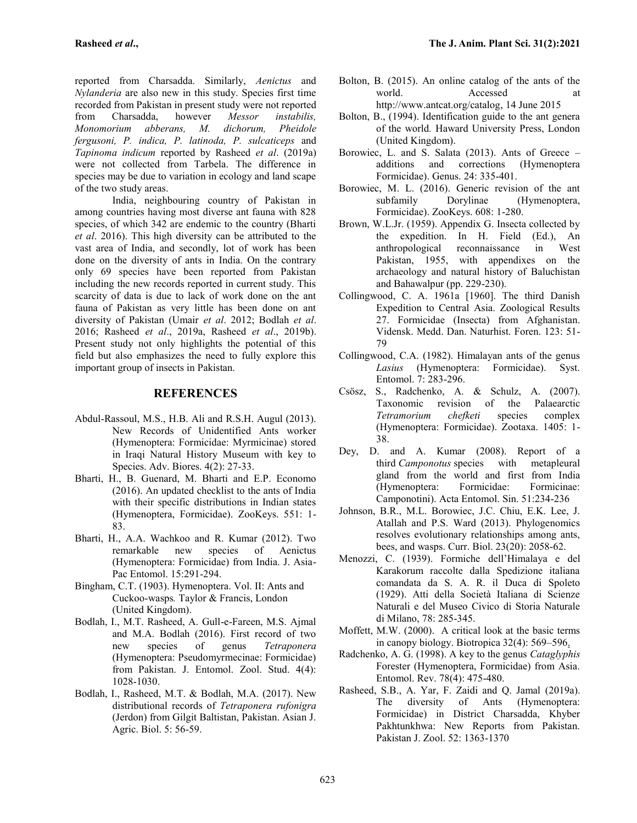reported from Charsadda. Similarly, *Aenictus* and *Nylanderia* are also new in this study. Species first time recorded from Pakistan in present study were not reported from Charsadda, however *Messor instabilis, Monomorium abberans, M. dichorum, Pheidole fergusoni, P. indica, P. latinoda, P. sulcaticeps* and *Tapinoma indicum* reported by Rasheed *et al*. (2019a) were not collected from Tarbela. The difference in species may be due to variation in ecology and land scape of the two study areas.

India, neighbouring country of Pakistan in among countries having most diverse ant fauna with 828 species, of which 342 are endemic to the country (Bharti *et al*. 2016). This high diversity can be attributed to the vast area of India, and secondly, lot of work has been done on the diversity of ants in India. On the contrary only 69 species have been reported from Pakistan including the new records reported in current study. This scarcity of data is due to lack of work done on the ant fauna of Pakistan as very little has been done on ant diversity of Pakistan (Umair *et al*. 2012; Bodlah *et al*. 2016; Rasheed *et al*., 2019a, Rasheed *et al*., 2019b). Present study not only highlights the potential of this field but also emphasizes the need to fully explore this important group of insects in Pakistan.

# **REFERENCES**

- Abdul-Rassoul, M.S., H.B. Ali and R.S.H. Augul (2013). New Records of Unidentified Ants worker (Hymenoptera: Formicidae: Myrmicinae) stored in Iraqi Natural History Museum with key to Species. Adv. Biores. 4(2): 27-33.
- Bharti, H., B. Guenard, M. Bharti and E.P. Economo (2016). An updated checklist to the ants of India with their specific distributions in Indian states (Hymenoptera, Formicidae). ZooKeys. 551: 1- 83.
- Bharti, H., A.A. Wachkoo and R. Kumar (2012). Two remarkable new species of Aenictus (Hymenoptera: Formicidae) from India. J. Asia- Pac Entomol. 15:291-294.
- Bingham, C.T. (1903). Hymenoptera. Vol. II: Ants and Cuckoo-wasps*.* Taylor & Francis, London (United Kingdom).
- Bodlah, I., M.T. Rasheed, A. Gull-e-Fareen, M.S. Ajmal and M.A. Bodlah (2016). First record of two<br>new species of genus Tetraponera new species of genus *Tetraponera* (Hymenoptera: Pseudomyrmecinae: Formicidae) from Pakistan. J. Entomol. Zool. Stud. 4(4): 1028-1030.
- Bodlah, I., Rasheed, M.T. & Bodlah, M.A. (2017). New distributional records of *Tetraponera rufonigra* (Jerdon) from Gilgit Baltistan, Pakistan. Asian J. Agric. Biol. 5: 56-59.
- Bolton, B. (2015). An online catalog of the ants of the world. Accessed at http://www.antcat.org/catalog, 14 June 2015
- Bolton, B., (1994). Identification guide to the ant genera of the world*.* Haward University Press, London (United Kingdom).
- Borowiec, L. and S. Salata (2013). Ants of Greece additions and corrections (Hymenoptera Formicidae). Genus. 24: 335-401.
- Borowiec, M. L. (2016). Generic revision of the ant subfamily Dorylinae (Hymenoptera, Formicidae). ZooKeys. 608: 1-280.
- Brown, W.L.Jr. (1959). Appendix G. Insecta collected by the expedition. In H. Field (Ed.), An anthropological reconnaissance in West Pakistan, 1955, with appendixes on the archaeology and natural history of Baluchistan and Bahawalpur (pp. 229-230).
- Collingwood, C. A. 1961a [1960]. The third Danish Expedition to Central Asia. Zoological Results 27. Formicidae (Insecta) from Afghanistan. Vidensk. Medd. Dan. Naturhist. Foren. 123: 51- 79
- Collingwood, C.A. (1982). Himalayan ants of the genus *Lasius* (Hymenoptera: Formicidae). Syst. Entomol. 7: 283-296.
- Csösz, S., Radchenko, A. & Schulz, A. (2007). Taxonomic revision of the Palaearctic *Tetramorium chefketi* species complex (Hymenoptera: Formicidae). Zootaxa. 1405: 1- 38.
- Dey, D. and A. Kumar (2008). Report of a third *Camponotus* species with metapleural gland from the world and first from India (Hymenoptera: Formicidae: Formicinae: Camponotini). Acta Entomol. Sin. 51:234-236
- Johnson, B.R., M.L. Borowiec, J.C. Chiu, E.K. Lee, J. Atallah and P.S. Ward (2013). Phylogenomics resolves evolutionary relationships among ants, bees, and wasps. Curr. Biol. 23(20): 2058-62.
- Menozzi, C. (1939). Formiche dell'Himalaya e del Karakorum raccolte dalla Spedizione italiana comandata da S. A. R. il Duca di Spoleto (1929). Atti della Società Italiana di Scienze Naturali e del Museo Civico di Storia Naturale di Milano, 78: 285-345.
- Moffett, M.W. (2000). A critical look at the basic terms in canopy biology. Biotropica 32(4): 569–596.
- Radchenko, A. G. (1998). A key to the genus *Cataglyphis* Forester (Hymenoptera, Formicidae) from Asia. Entomol. Rev. 78(4): 475-480.
- Rasheed, S.B., A. Yar, F. Zaidi and Q. Jamal (2019a). The diversity of Ants (Hymenoptera: Formicidae) in District Charsadda, Khyber Pakhtunkhwa: New Reports from Pakistan. Pakistan J. Zool. 52: 1363-1370